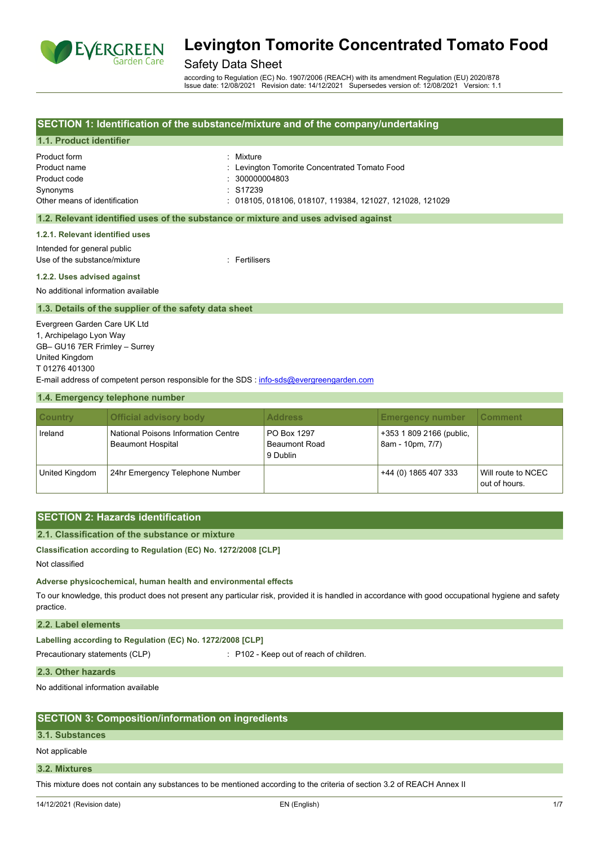

# Safety Data Sheet

according to Regulation (EC) No. 1907/2006 (REACH) with its amendment Regulation (EU) 2020/878 Issue date: 12/08/2021 Revision date: 14/12/2021 Supersedes version of: 12/08/2021 Version: 1.1

### **SECTION 1: Identification of the substance/mixture and of the company/undertaking**

### **1.1. Product identifier**

| Product form                  | : Mixture                                          |
|-------------------------------|----------------------------------------------------|
| Product name                  | : Levington Tomorite Concentrated Tomato Food      |
| Product code                  | $\therefore$ 300000004803                          |
| Synonyms                      | $\cdot$ S17239                                     |
| Other means of identification | : 018105.018106.018107.119384.121027.121028.121029 |

#### **1.2. Relevant identified uses of the substance or mixture and uses advised against**

#### **1.2.1. Relevant identified uses**

Intended for general public Use of the substance/mixture in the substance of the substance in the set of the substance of the substance of the substance of the substance of the substance of the substance of the substance of the substance of the subst

#### **1.2.2. Uses advised against**

No additional information available

#### **1.3. Details of the supplier of the safety data sheet**

Evergreen Garden Care UK Ltd 1, Archipelago Lyon Way GB– GU16 7ER Frimley – Surrey United Kingdom T 01276 401300 E-mail address of competent person responsible for the SDS : [info-sds@evergreengarden.com](mailto:info-sds@evergreengarden.com)

#### **1.4. Emergency telephone number**

| <b>Country</b> | <b>Official advisory body</b>                                   | <b>Address</b>                                  | <b>Emergency number</b>                      | ∣ Comment                           |
|----------------|-----------------------------------------------------------------|-------------------------------------------------|----------------------------------------------|-------------------------------------|
| Ireland        | National Poisons Information Centre<br><b>Beaumont Hospital</b> | PO Box 1297<br><b>Beaumont Road</b><br>9 Dublin | +353 1 809 2166 (public,<br>8am - 10pm, 7/7) |                                     |
| United Kingdom | 24hr Emergency Telephone Number                                 |                                                 | +44 (0) 1865 407 333                         | Will route to NCEC<br>out of hours. |

# **SECTION 2: Hazards identification**

### **2.1. Classification of the substance or mixture**

# **Classification according to Regulation (EC) No. 1272/2008 [CLP]**

Not classified

#### **Adverse physicochemical, human health and environmental effects**

To our knowledge, this product does not present any particular risk, provided it is handled in accordance with good occupational hygiene and safety practice.

#### **2.2. Label elements**

| Labelling according to Regulation (EC) No. 1272/2008 [CLP] |                                         |
|------------------------------------------------------------|-----------------------------------------|
| Precautionary statements (CLP)                             | : P102 - Keep out of reach of children. |

#### **2.3. Other hazards**

No additional information available

# **SECTION 3: Composition/information on ingredients**

#### **3.1. Substances**

Not applicable

#### **3.2. Mixtures**

This mixture does not contain any substances to be mentioned according to the criteria of section 3.2 of REACH Annex II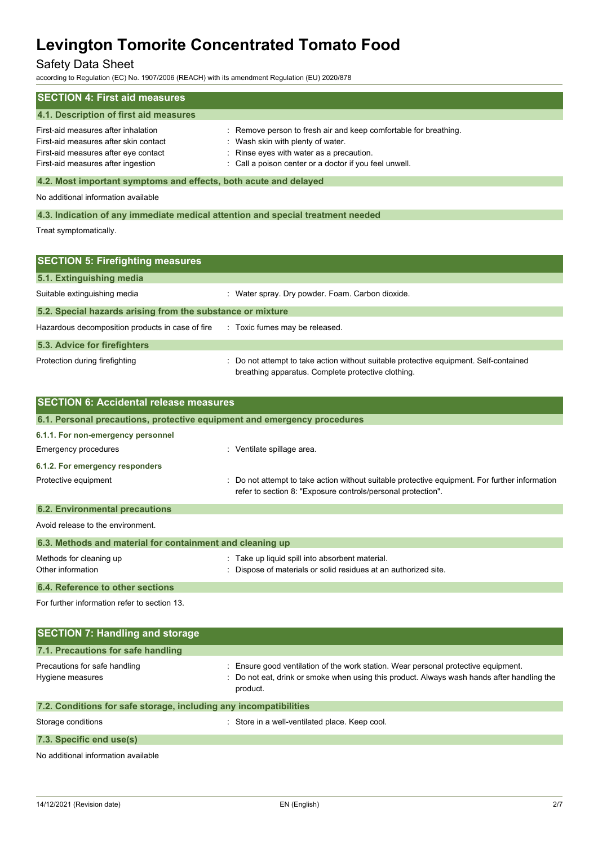# Safety Data Sheet

according to Regulation (EC) No. 1907/2006 (REACH) with its amendment Regulation (EU) 2020/878

| <b>SECTION 4: First aid measures</b>                                                                                                                       |                                                                                                                                                                                                             |  |
|------------------------------------------------------------------------------------------------------------------------------------------------------------|-------------------------------------------------------------------------------------------------------------------------------------------------------------------------------------------------------------|--|
| 4.1. Description of first aid measures                                                                                                                     |                                                                                                                                                                                                             |  |
| First-aid measures after inhalation<br>First-aid measures after skin contact<br>First-aid measures after eye contact<br>First-aid measures after ingestion | : Remove person to fresh air and keep comfortable for breathing.<br>: Wash skin with plenty of water.<br>: Rinse eyes with water as a precaution.<br>: Call a poison center or a doctor if you feel unwell. |  |
| 4.2. Most important symptoms and effects, both acute and delayed                                                                                           |                                                                                                                                                                                                             |  |
| No additional information available                                                                                                                        |                                                                                                                                                                                                             |  |
| 4.3. Indication of any immediate medical attention and special treatment needed                                                                            |                                                                                                                                                                                                             |  |
| Treat symptomatically.                                                                                                                                     |                                                                                                                                                                                                             |  |

| <b>SECTION 5: Firefighting measures</b>                    |                                                                                                                                             |  |
|------------------------------------------------------------|---------------------------------------------------------------------------------------------------------------------------------------------|--|
| 5.1. Extinguishing media                                   |                                                                                                                                             |  |
| Suitable extinguishing media                               | : Water spray. Dry powder. Foam. Carbon dioxide.                                                                                            |  |
| 5.2. Special hazards arising from the substance or mixture |                                                                                                                                             |  |
| Hazardous decomposition products in case of fire           | : Toxic fumes may be released.                                                                                                              |  |
| 5.3. Advice for firefighters                               |                                                                                                                                             |  |
| Protection during firefighting                             | : Do not attempt to take action without suitable protective equipment. Self-contained<br>breathing apparatus. Complete protective clothing. |  |

| <b>SECTION 6: Accidental release measures</b>             |                                                                                                                                                                |
|-----------------------------------------------------------|----------------------------------------------------------------------------------------------------------------------------------------------------------------|
|                                                           | 6.1. Personal precautions, protective equipment and emergency procedures                                                                                       |
| 6.1.1. For non-emergency personnel                        |                                                                                                                                                                |
| Emergency procedures                                      | : Ventilate spillage area.                                                                                                                                     |
| 6.1.2. For emergency responders                           |                                                                                                                                                                |
| Protective equipment                                      | : Do not attempt to take action without suitable protective equipment. For further information<br>refer to section 8: "Exposure controls/personal protection". |
| <b>6.2. Environmental precautions</b>                     |                                                                                                                                                                |
| Avoid release to the environment.                         |                                                                                                                                                                |
| 6.3. Methods and material for containment and cleaning up |                                                                                                                                                                |
| Methods for cleaning up<br>Other information              | : Take up liquid spill into absorbent material.<br>: Dispose of materials or solid residues at an authorized site.                                             |
| 6.4. Reference to other sections                          |                                                                                                                                                                |

For further information refer to section 13.

| <b>SECTION 7: Handling and storage</b>                            |                                                                                                                                                                                              |  |  |
|-------------------------------------------------------------------|----------------------------------------------------------------------------------------------------------------------------------------------------------------------------------------------|--|--|
| 7.1. Precautions for safe handling                                |                                                                                                                                                                                              |  |  |
| Precautions for safe handling<br>Hygiene measures                 | : Ensure good ventilation of the work station. Wear personal protective equipment.<br>: Do not eat, drink or smoke when using this product. Always wash hands after handling the<br>product. |  |  |
| 7.2. Conditions for safe storage, including any incompatibilities |                                                                                                                                                                                              |  |  |
| Storage conditions                                                | : Store in a well-ventilated place. Keep cool.                                                                                                                                               |  |  |
| 7.3. Specific end use(s)                                          |                                                                                                                                                                                              |  |  |

No additional information available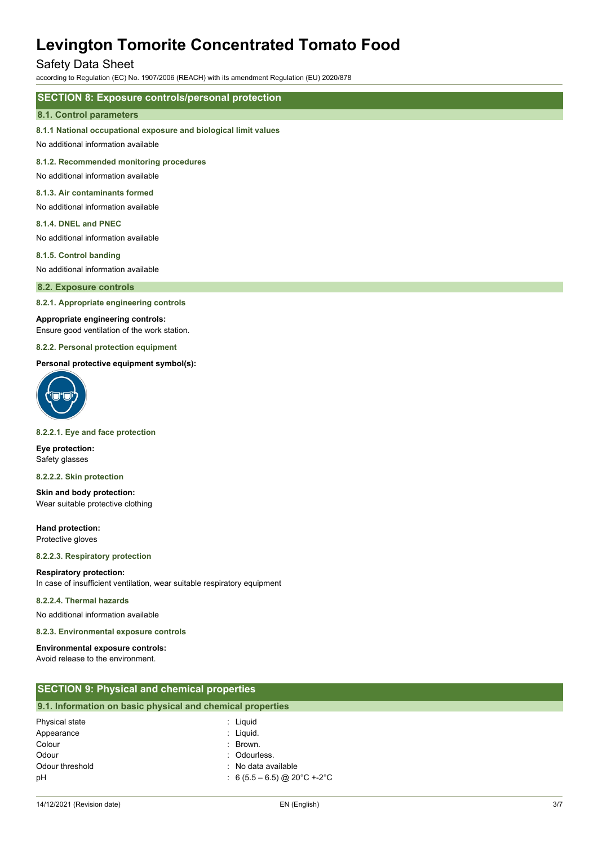# Safety Data Sheet

according to Regulation (EC) No. 1907/2006 (REACH) with its amendment Regulation (EU) 2020/878

# **SECTION 8: Exposure controls/personal protection**

#### **8.1. Control parameters**

#### **8.1.1 National occupational exposure and biological limit values**

No additional information available

#### **8.1.2. Recommended monitoring procedures**

No additional information available

## **8.1.3. Air contaminants formed**

- No additional information available
- **8.1.4. DNEL and PNEC**

No additional information available

#### **8.1.5. Control banding**

No additional information available

#### **8.2. Exposure controls**

**8.2.1. Appropriate engineering controls**

#### **Appropriate engineering controls:**

Ensure good ventilation of the work station.

#### **8.2.2. Personal protection equipment**

#### **Personal protective equipment symbol(s):**



#### **8.2.2.1. Eye and face protection**

**Eye protection:** Safety glasses

#### **8.2.2.2. Skin protection**

**Skin and body protection:** Wear suitable protective clothing

**Hand protection:** Protective gloves

#### **8.2.2.3. Respiratory protection**

#### **Respiratory protection:**

In case of insufficient ventilation, wear suitable respiratory equipment

#### **8.2.2.4. Thermal hazards**

No additional information available

#### **8.2.3. Environmental exposure controls**

# **Environmental exposure controls:**

Avoid release to the environment.

| <b>SECTION 9: Physical and chemical properties</b>         |                     |  |
|------------------------------------------------------------|---------------------|--|
| 9.1. Information on basic physical and chemical properties |                     |  |
| Physical state                                             | : Liguid            |  |
| Appearance                                                 | : Liquid.           |  |
| Colour                                                     | : Brown.            |  |
| Odour                                                      | : Odourless.        |  |
| Odour threshold                                            | : No data available |  |

pH : 6 (5.5 – 6.5) @ 20°C +-2°C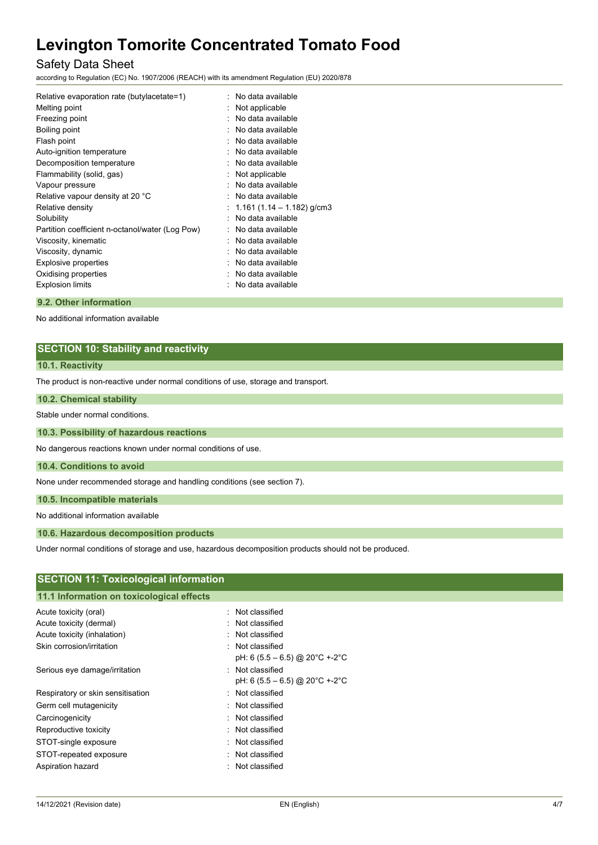# Safety Data Sheet

according to Regulation (EC) No. 1907/2006 (REACH) with its amendment Regulation (EU) 2020/878

| Relative evaporation rate (butylacetate=1)      | No data available          |
|-------------------------------------------------|----------------------------|
| Melting point                                   | Not applicable             |
| Freezing point                                  | No data available          |
| Boiling point                                   | No data available          |
| Flash point                                     | No data available          |
| Auto-ignition temperature                       | No data available          |
| Decomposition temperature                       | No data available          |
| Flammability (solid, gas)                       | Not applicable             |
| Vapour pressure                                 | No data available          |
| Relative vapour density at 20 °C                | No data available          |
| Relative density                                | 1.161 (1.14 – 1.182) g/cm3 |
| Solubility                                      | No data available          |
| Partition coefficient n-octanol/water (Log Pow) | No data available          |
| Viscosity, kinematic                            | No data available          |
| Viscosity, dynamic                              | No data available          |
| Explosive properties                            | No data available          |
| Oxidising properties                            | No data available          |
| <b>Explosion limits</b>                         | No data available          |
|                                                 |                            |

# **9.2. Other information**

No additional information available

# **SECTION 10: Stability and reactivity**

### **10.1. Reactivity**

The product is non-reactive under normal conditions of use, storage and transport.

#### **10.2. Chemical stability**

Stable under normal conditions.

### **10.3. Possibility of hazardous reactions**

No dangerous reactions known under normal conditions of use.

### **10.4. Conditions to avoid**

None under recommended storage and handling conditions (see section 7).

**10.5. Incompatible materials**

No additional information available

### **10.6. Hazardous decomposition products**

Under normal conditions of storage and use, hazardous decomposition products should not be produced.

| <b>SECTION 11: Toxicological information</b> |                                           |  |  |
|----------------------------------------------|-------------------------------------------|--|--|
|                                              | 11.1 Information on toxicological effects |  |  |
| Acute toxicity (oral)                        | : Not classified                          |  |  |
| Acute toxicity (dermal)                      | : Not classified                          |  |  |
| Acute toxicity (inhalation)                  | : Not classified                          |  |  |
| Skin corrosion/irritation                    | : Not classified                          |  |  |
|                                              | pH: 6 (5.5 – 6.5) @ 20 °C +-2 °C          |  |  |
| Serious eye damage/irritation                | : Not classified                          |  |  |
|                                              | pH: 6 (5.5 – 6.5) @ 20 °C +-2 °C          |  |  |
| Respiratory or skin sensitisation            | : Not classified                          |  |  |
| Germ cell mutagenicity                       | : Not classified                          |  |  |
| Carcinogenicity                              | : Not classified                          |  |  |
| Reproductive toxicity                        | : Not classified                          |  |  |
| STOT-single exposure                         | : Not classified                          |  |  |
| STOT-repeated exposure                       | : Not classified                          |  |  |
| Aspiration hazard                            | : Not classified                          |  |  |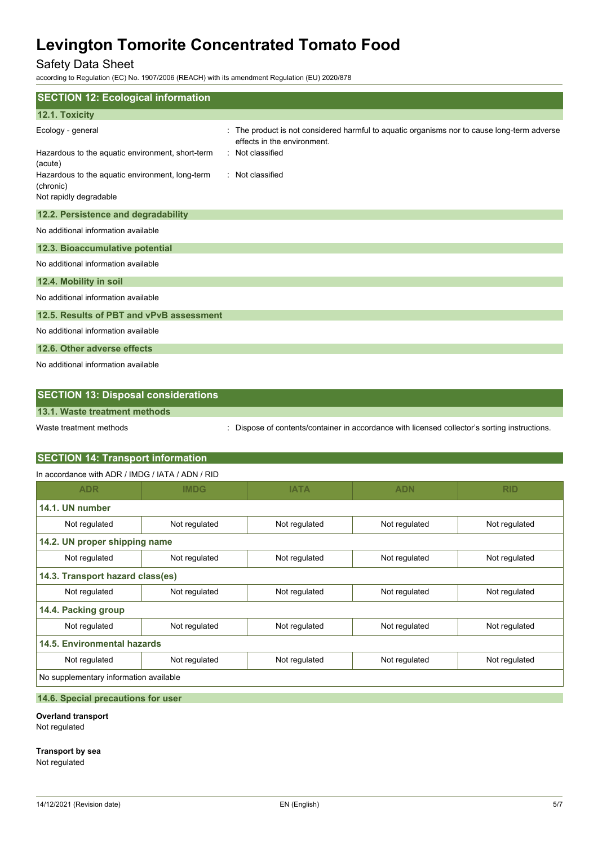# Safety Data Sheet

according to Regulation (EC) No. 1907/2006 (REACH) with its amendment Regulation (EU) 2020/878

| <b>SECTION 12: Ecological information</b>                    |                                                                                                                           |
|--------------------------------------------------------------|---------------------------------------------------------------------------------------------------------------------------|
| 12.1. Toxicity                                               |                                                                                                                           |
| Ecology - general                                            | : The product is not considered harmful to aquatic organisms nor to cause long-term adverse<br>effects in the environment |
| Hazardous to the aquatic environment, short-term<br>(acute)  | : Not classified                                                                                                          |
| Hazardous to the aquatic environment, long-term<br>(chronic) | : Not classified                                                                                                          |
| Not rapidly degradable                                       |                                                                                                                           |
| 12.2. Persistence and degradability                          |                                                                                                                           |
| No additional information available                          |                                                                                                                           |
| 12.3. Bioaccumulative potential                              |                                                                                                                           |
| No additional information available                          |                                                                                                                           |
| 12.4. Mobility in soil                                       |                                                                                                                           |
| No additional information available                          |                                                                                                                           |
| 12.5. Results of PBT and vPvB assessment                     |                                                                                                                           |
| No additional information available                          |                                                                                                                           |
| 12.6. Other adverse effects                                  |                                                                                                                           |
| No additional information available                          |                                                                                                                           |

| <b>SECTION 13: Disposal considerations</b> |                                                                                             |
|--------------------------------------------|---------------------------------------------------------------------------------------------|
| 13.1. Waste treatment methods              |                                                                                             |
| Waste treatment methods                    | Dispose of contents/container in accordance with licensed collector's sorting instructions. |

# **SECTION 14: Transport information**

In accordance with ADR / IMDG / IATA / ADN / RID

| <b>ADR</b>                             | <b>IMDG</b>   | <b>IATA</b>   | <b>ADN</b>                     | <b>RID</b>    |  |  |
|----------------------------------------|---------------|---------------|--------------------------------|---------------|--|--|
| 14.1. UN number                        |               |               |                                |               |  |  |
| Not regulated                          | Not regulated | Not regulated | Not regulated<br>Not regulated |               |  |  |
| 14.2. UN proper shipping name          |               |               |                                |               |  |  |
| Not regulated                          | Not regulated | Not regulated | Not regulated                  | Not regulated |  |  |
| 14.3. Transport hazard class(es)       |               |               |                                |               |  |  |
| Not regulated                          | Not regulated | Not regulated | Not regulated                  | Not regulated |  |  |
| 14.4. Packing group                    |               |               |                                |               |  |  |
| Not regulated                          | Not regulated | Not regulated | Not regulated                  | Not regulated |  |  |
| 14.5. Environmental hazards            |               |               |                                |               |  |  |
| Not regulated                          | Not regulated | Not regulated | Not regulated                  | Not regulated |  |  |
| No supplementary information available |               |               |                                |               |  |  |

## **14.6. Special precautions for user**

**Overland transport**

Not regulated

**Transport by sea**

Not regulated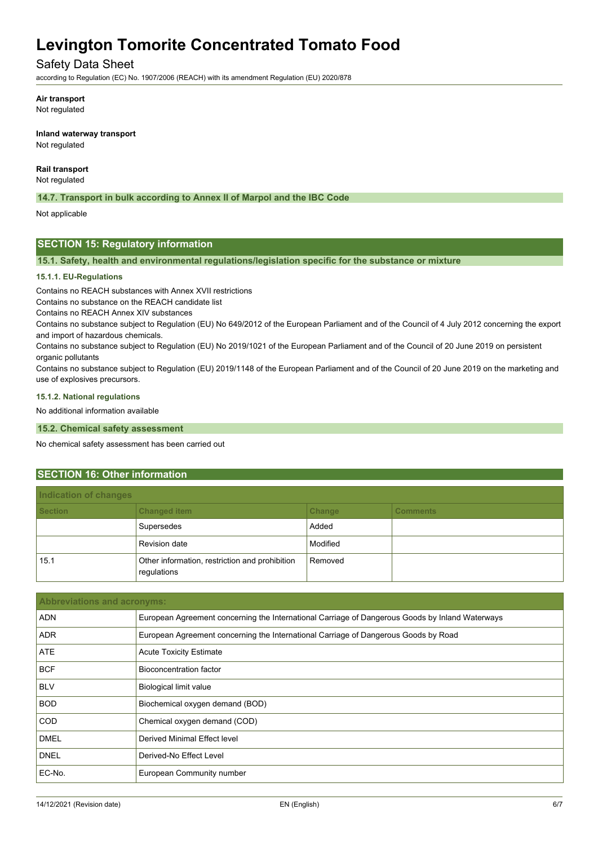# Safety Data Sheet

according to Regulation (EC) No. 1907/2006 (REACH) with its amendment Regulation (EU) 2020/878

**Air transport**

Not regulated

**Inland waterway transport** Not regulated

**Rail transport**

Not regulated

**14.7. Transport in bulk according to Annex II of Marpol and the IBC Code**

Not applicable

# **SECTION 15: Regulatory information**

**15.1. Safety, health and environmental regulations/legislation specific for the substance or mixture**

#### **15.1.1. EU-Regulations**

Contains no REACH substances with Annex XVII restrictions

Contains no substance on the REACH candidate list

Contains no REACH Annex XIV substances

Contains no substance subject to Regulation (EU) No 649/2012 of the European Parliament and of the Council of 4 July 2012 concerning the export and import of hazardous chemicals.

Contains no substance subject to Regulation (EU) No 2019/1021 of the European Parliament and of the Council of 20 June 2019 on persistent organic pollutants

Contains no substance subject to Regulation (EU) 2019/1148 of the European Parliament and of the Council of 20 June 2019 on the marketing and use of explosives precursors.

#### **15.1.2. National regulations**

No additional information available

**15.2. Chemical safety assessment**

No chemical safety assessment has been carried out

#### **SECTION 16: Other information**

| Indication of changes |                                                               |          |                 |  |
|-----------------------|---------------------------------------------------------------|----------|-----------------|--|
| <b>Section</b>        | <b>Changed item</b>                                           | Change   | <b>Comments</b> |  |
|                       | Supersedes                                                    | Added    |                 |  |
|                       | <b>Revision date</b>                                          | Modified |                 |  |
| 15.1                  | Other information, restriction and prohibition<br>regulations | Removed  |                 |  |

| <b>Abbreviations and acronyms:</b> |                                                                                                 |  |
|------------------------------------|-------------------------------------------------------------------------------------------------|--|
| <b>ADN</b>                         | European Agreement concerning the International Carriage of Dangerous Goods by Inland Waterways |  |
| <b>ADR</b>                         | European Agreement concerning the International Carriage of Dangerous Goods by Road             |  |
| ATE                                | <b>Acute Toxicity Estimate</b>                                                                  |  |
| <b>BCF</b>                         | Bioconcentration factor                                                                         |  |
| <b>BLV</b>                         | <b>Biological limit value</b>                                                                   |  |
| <b>BOD</b>                         | Biochemical oxygen demand (BOD)                                                                 |  |
| <b>COD</b>                         | Chemical oxygen demand (COD)                                                                    |  |
| <b>DMEL</b>                        | Derived Minimal Effect level                                                                    |  |
| <b>DNEL</b>                        | Derived-No Effect Level                                                                         |  |
| EC-No.                             | European Community number                                                                       |  |